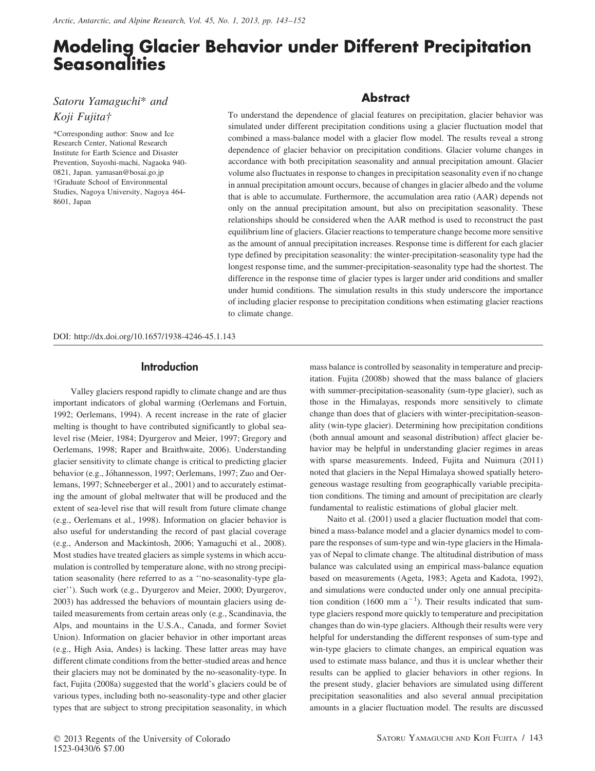## **Modeling Glacier Behavior under Different Precipitation Seasonalities**

# **Abstract** *Satoru Yamaguchi*\* *and*

*Koji Fujita†* To understand the dependence of glacial features on precipitation, glacier behavior was<br>simulated under different precipitation conditions using a glacier fluctuation model that \*Corresponding author: Snow and Ice<br>
Research Center, National Research<br>
Institute for Earth Science and Disaster<br>
Institute for Earth Science and Disaster<br>
Simplement of glacier behavior on precipitation conditions. Glaci Prevention, Suyoshi-machi, Nagaoka 940- accordance with both precipitation seasonality and annual precipitation amount. Glacier 0821, Japan. yamasan@bosai.go.jp volume also fluctuates in response to changes in precipitation seasonality even if no change<br>
†Graduate School of Environmental in annual precipitation amount occurs because of changes in g TGraduate School of Environmental in annual precipitation amount occurs, because of changes in glacier albedo and the volume<br>Studies, Nagoya University, Nagoya 464-<br>8601, Japan only on the annual precipitation amount, but relationships should be considered when the AAR method is used to reconstruct the past equilibrium line of glaciers. Glacier reactions to temperature change become more sensitive as the amount of annual precipitation increases. Response time is different for each glacier type defined by precipitation seasonality: the winter-precipitation-seasonality type had the longest response time, and the summer-precipitation-seasonality type had the shortest. The difference in the response time of glacier types is larger under arid conditions and smaller under humid conditions. The simulation results in this study underscore the importance of including glacier response to precipitation conditions when estimating glacier reactions to climate change.

DOI: http://dx.doi.org/10.1657/1938-4246-45.1.143

#### **Introduction**

Valley glaciers respond rapidly to climate change and are thus important indicators of global warming (Oerlemans and Fortuin, 1992; Oerlemans, 1994). A recent increase in the rate of glacier melting is thought to have contributed significantly to global sealevel rise (Meier, 1984; Dyurgerov and Meier, 1997; Gregory and Oerlemans, 1998; Raper and Braithwaite, 2006). Understanding glacier sensitivity to climate change is critical to predicting glacier behavior (e.g., Jóhannesson, 1997; Oerlemans, 1997; Zuo and Oerlemans, 1997; Schneeberger et al., 2001) and to accurately estimating the amount of global meltwater that will be produced and the extent of sea-level rise that will result from future climate change (e.g., Oerlemans et al., 1998). Information on glacier behavior is also useful for understanding the record of past glacial coverage (e.g., Anderson and Mackintosh, 2006; Yamaguchi et al., 2008). Most studies have treated glaciers as simple systems in which accumulation is controlled by temperature alone, with no strong precipitation seasonality (here referred to as a ''no-seasonality-type glacier''). Such work (e.g., Dyurgerov and Meier, 2000; Dyurgerov, 2003) has addressed the behaviors of mountain glaciers using detailed measurements from certain areas only (e.g., Scandinavia, the Alps, and mountains in the U.S.A., Canada, and former Soviet Union). Information on glacier behavior in other important areas (e.g., High Asia, Andes) is lacking. These latter areas may have different climate conditions from the better-studied areas and hence their glaciers may not be dominated by the no-seasonality-type. In fact, Fujita (2008a) suggested that the world's glaciers could be of various types, including both no-seasonality-type and other glacier types that are subject to strong precipitation seasonality, in which mass balance is controlled by seasonality in temperature and precipitation. Fujita (2008b) showed that the mass balance of glaciers with summer-precipitation-seasonality (sum-type glacier), such as those in the Himalayas, responds more sensitively to climate change than does that of glaciers with winter-precipitation-seasonality (win-type glacier). Determining how precipitation conditions (both annual amount and seasonal distribution) affect glacier behavior may be helpful in understanding glacier regimes in areas with sparse measurements. Indeed, Fujita and Nuimura (2011) noted that glaciers in the Nepal Himalaya showed spatially heterogeneous wastage resulting from geographically variable precipitation conditions. The timing and amount of precipitation are clearly fundamental to realistic estimations of global glacier melt.

Naito et al. (2001) used a glacier fluctuation model that combined a mass-balance model and a glacier dynamics model to compare the responses of sum-type and win-type glaciers in the Himalayas of Nepal to climate change. The altitudinal distribution of mass balance was calculated using an empirical mass-balance equation based on measurements (Ageta, 1983; Ageta and Kadota, 1992), and simulations were conducted under only one annual precipitation condition (1600 mm  $a^{-1}$ ). Their results indicated that sumtype glaciers respond more quickly to temperature and precipitation changes than do win-type glaciers. Although their results were very helpful for understanding the different responses of sum-type and win-type glaciers to climate changes, an empirical equation was used to estimate mass balance, and thus it is unclear whether their results can be applied to glacier behaviors in other regions. In the present study, glacier behaviors are simulated using different precipitation seasonalities and also several annual precipitation amounts in a glacier fluctuation model. The results are discussed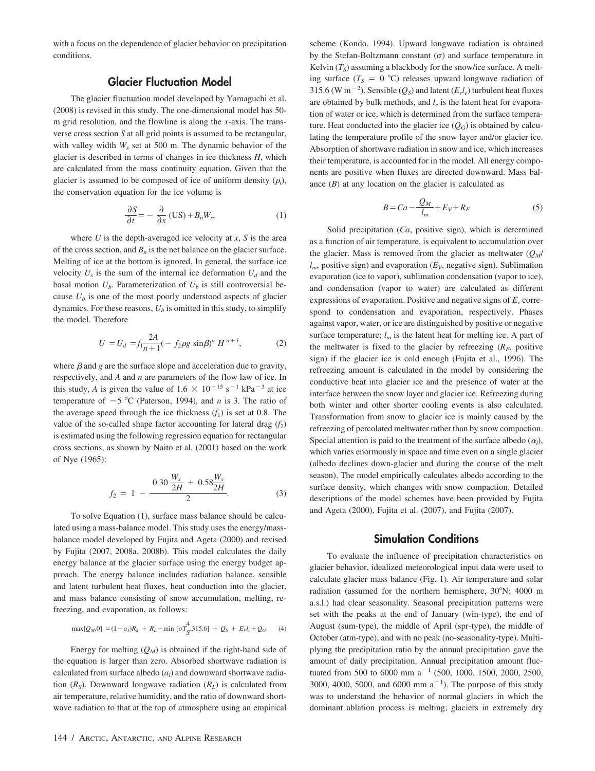with a focus on the dependence of glacier behavior on precipitation conditions.

#### **Glacier Fluctuation Model**

The glacier fluctuation model developed by Yamaguchi et al. (2008) is revised in this study. The one-dimensional model has 50 m grid resolution, and the flowline is along the *x*-axis. The transverse cross section *S* at all grid points is assumed to be rectangular, with valley width  $W_s$  set at 500 m. The dynamic behavior of the glacier is described in terms of changes in ice thickness *H*, which are calculated from the mass continuity equation. Given that the glacier is assumed to be composed of ice of uniform density  $(\rho_i)$ , the conservation equation for the ice volume is

$$
\frac{\partial S}{\partial t} = -\frac{\partial}{\partial x} (US) + B_n W_s, \tag{1}
$$

where  $U$  is the depth-averaged ice velocity at  $x$ ,  $S$  is the area of the cross section, and  $B_n$  is the net balance on the glacier surface. Melting of ice at the bottom is ignored. In general, the surface ice velocity  $U_s$  is the sum of the internal ice deformation  $U_d$  and the basal motion  $U<sub>b</sub>$ . Parameterization of  $U<sub>b</sub>$  is still controversial because  $U_b$  is one of the most poorly understood aspects of glacier dynamics. For these reasons,  $U<sub>b</sub>$  is omitted in this study, to simplify the model. Therefore

$$
U = U_d = f_1 \frac{2A}{n+1} (-f_2 \rho g \sin \beta)^n H^{n+1},
$$
 (2)

where  $\beta$  and  $\beta$  are the surface slope and acceleration due to gravity, respectively, and *A* and *n* are parameters of the flow law of ice. In this study, *A* is given the value of  $1.6 \times 10^{-15}$  s<sup>-1</sup> kPa<sup>-3</sup> at ice temperature of  $-5$  °C (Paterson, 1994), and *n* is 3. The ratio of the average speed through the ice thickness  $(f_1)$  is set at 0.8. The value of the so-called shape factor accounting for lateral drag  $(f_2)$ is estimated using the following regression equation for rectangular cross sections, as shown by Naito et al. (2001) based on the work of Nye (1965):

$$
f_2 = 1 - \frac{0.30 \frac{W_s}{2H} + 0.58 \frac{W_s}{2H}}{2}.
$$
 (3)

To solve Equation (1), surface mass balance should be calculated using a mass-balance model. This study uses the energy/massbalance model developed by Fujita and Ageta (2000) and revised by Fujita (2007, 2008a, 2008b). This model calculates the daily energy balance at the glacier surface using the energy budget approach. The energy balance includes radiation balance, sensible and latent turbulent heat fluxes, heat conduction into the glacier, and mass balance consisting of snow accumulation, melting, refreezing, and evaporation, as follows:

$$
\max[Q_M, 0] = (1 - a_I)R_S + R_L - \min \left[ \sigma T_S^4; 315.6 \right] + Q_S + E_V l_e + Q_G. \tag{4}
$$

Energy for melting  $(Q_M)$  is obtained if the right-hand side of the equation is larger than zero. Absorbed shortwave radiation is calculated from surface albedo  $(a<sub>l</sub>)$  and downward shortwave radiation  $(R<sub>S</sub>)$ . Downward longwave radiation  $(R<sub>L</sub>)$  is calculated from air temperature, relative humidity, and the ratio of downward shortwave radiation to that at the top of atmosphere using an empirical scheme (Kondo, 1994). Upward longwave radiation is obtained by the Stefan-Boltzmann constant  $(\sigma)$  and surface temperature in Kelvin  $(T_S)$  assuming a blackbody for the snow/ice surface. A melting surface  $(T<sub>S</sub> = 0<sup>o</sup>C)$  releases upward longwave radiation of 315.6 (W m<sup>-2</sup>). Sensible ( $Q_s$ ) and latent ( $E_v l_e$ ) turbulent heat fluxes are obtained by bulk methods, and *le* is the latent heat for evaporation of water or ice, which is determined from the surface temperature. Heat conducted into the glacier ice  $(Q_G)$  is obtained by calculating the temperature profile of the snow layer and/or glacier ice. Absorption of shortwave radiation in snow and ice, which increases their temperature, is accounted for in the model. All energy components are positive when fluxes are directed downward. Mass balance (*B*) at any location on the glacier is calculated as

$$
B = Ca - \frac{Q_M}{l_m} + E_V + R_F \tag{5}
$$

Solid precipitation (*Ca*, positive sign), which is determined as a function of air temperature, is equivalent to accumulation over the glacier. Mass is removed from the glacier as meltwater (*QM*/  $l_m$ , positive sign) and evaporation ( $E_V$ , negative sign). Sublimation evaporation (ice to vapor), sublimation condensation (vapor to ice), and condensation (vapor to water) are calculated as different expressions of evaporation. Positive and negative signs of  $E<sub>v</sub>$  correspond to condensation and evaporation, respectively. Phases against vapor, water, or ice are distinguished by positive or negative surface temperature;  $l_m$  is the latent heat for melting ice. A part of the meltwater is fixed to the glacier by refreezing  $(R_F, \text{ positive})$ sign) if the glacier ice is cold enough (Fujita et al., 1996). The refreezing amount is calculated in the model by considering the conductive heat into glacier ice and the presence of water at the interface between the snow layer and glacier ice. Refreezing during both winter and other shorter cooling events is also calculated. Transformation from snow to glacier ice is mainly caused by the refreezing of percolated meltwater rather than by snow compaction. Special attention is paid to the treatment of the surface albedo  $(\alpha_l)$ , which varies enormously in space and time even on a single glacier (albedo declines down-glacier and during the course of the melt season). The model empirically calculates albedo according to the surface density, which changes with snow compaction. Detailed descriptions of the model schemes have been provided by Fujita and Ageta (2000), Fujita et al. (2007), and Fujita (2007).

#### **Simulation Conditions**

To evaluate the influence of precipitation characteristics on glacier behavior, idealized meteorological input data were used to calculate glacier mass balance (Fig. 1). Air temperature and solar radiation (assumed for the northern hemisphere, 30°N; 4000 m a.s.l.) had clear seasonality. Seasonal precipitation patterns were set with the peaks at the end of January (win-type), the end of August (sum-type), the middle of April (spr-type), the middle of October (atm-type), and with no peak (no-seasonality-type). Multiplying the precipitation ratio by the annual precipitation gave the amount of daily precipitation. Annual precipitation amount fluctuated from 500 to 6000 mm  $a^{-1}$  (500, 1000, 1500, 2000, 2500, 3000, 4000, 5000, and 6000 mm  $a^{-1}$ ). The purpose of this study was to understand the behavior of normal glaciers in which the dominant ablation process is melting; glaciers in extremely dry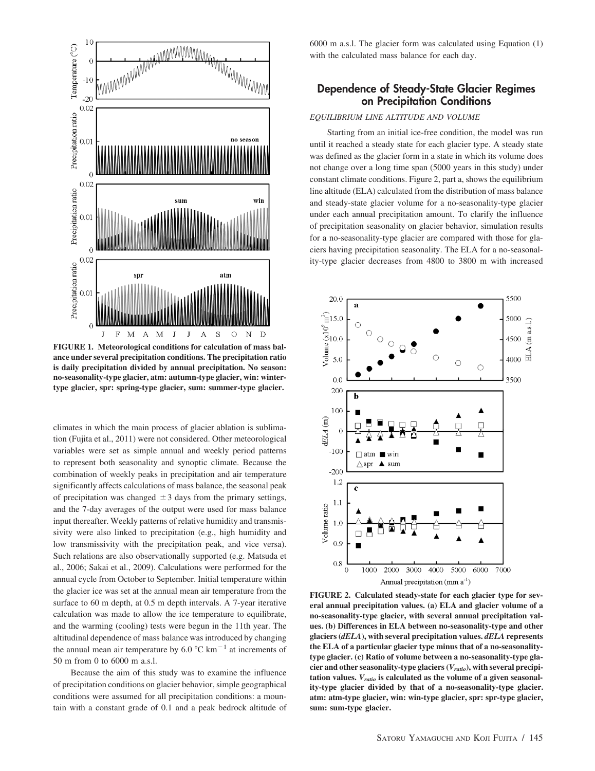

**FIGURE 1. Meteorological conditions for calculation of mass balance under several precipitation conditions. The precipitation ratio is daily precipitation divided by annual precipitation. No season: no-seasonality-type glacier, atm: autumn-type glacier, win: wintertype glacier, spr: spring-type glacier, sum: summer-type glacier.**

climates in which the main process of glacier ablation is sublimation (Fujita et al., 2011) were not considered. Other meteorological variables were set as simple annual and weekly period patterns to represent both seasonality and synoptic climate. Because the combination of weekly peaks in precipitation and air temperature significantly affects calculations of mass balance, the seasonal peak of precipitation was changed  $\pm 3$  days from the primary settings, and the 7-day averages of the output were used for mass balance input thereafter. Weekly patterns of relative humidity and transmissivity were also linked to precipitation (e.g., high humidity and low transmissivity with the precipitation peak, and vice versa). Such relations are also observationally supported (e.g. Matsuda et al., 2006; Sakai et al., 2009). Calculations were performed for the annual cycle from October to September. Initial temperature within the glacier ice was set at the annual mean air temperature from the surface to 60 m depth, at 0.5 m depth intervals. A 7-year iterative calculation was made to allow the ice temperature to equilibrate, and the warming (cooling) tests were begun in the 11th year. The altitudinal dependence of mass balance was introduced by changing the annual mean air temperature by  $6.0 \degree C$  km<sup>-1</sup> at increments of 50 m from 0 to 6000 m a.s.l.

Because the aim of this study was to examine the influence of precipitation conditions on glacier behavior, simple geographical conditions were assumed for all precipitation conditions: a mountain with a constant grade of 0.1 and a peak bedrock altitude of 6000 m a.s.l. The glacier form was calculated using Equation (1) with the calculated mass balance for each day.

### **Dependence of Steady-State Glacier Regimes on Precipitation Conditions**

#### *EQUILIBRIUM LINE ALTITUDE AND VOLUME*

Starting from an initial ice-free condition, the model was run until it reached a steady state for each glacier type. A steady state was defined as the glacier form in a state in which its volume does not change over a long time span (5000 years in this study) under constant climate conditions. Figure 2, part a, shows the equilibrium line altitude (ELA) calculated from the distribution of mass balance and steady-state glacier volume for a no-seasonality-type glacier under each annual precipitation amount. To clarify the influence of precipitation seasonality on glacier behavior, simulation results for a no-seasonality-type glacier are compared with those for glaciers having precipitation seasonality. The ELA for a no-seasonality-type glacier decreases from 4800 to 3800 m with increased



**FIGURE 2. Calculated steady-state for each glacier type for several annual precipitation values. (a) ELA and glacier volume of a no-seasonality-type glacier, with several annual precipitation values. (b) Differences in ELA between no-seasonality-type and other glaciers (***dELA***), with several precipitation values.** *dELA* **represents the ELA of a particular glacier type minus that of a no-seasonalitytype glacier. (c) Ratio of volume between a no-seasonality-type glacier and other seasonality-type glaciers (***Vratio***), with several precipitation values.** *Vratio* **is calculated as the volume of a given seasonality-type glacier divided by that of a no-seasonality-type glacier. atm: atm-type glacier, win: win-type glacier, spr: spr-type glacier, sum: sum-type glacier.**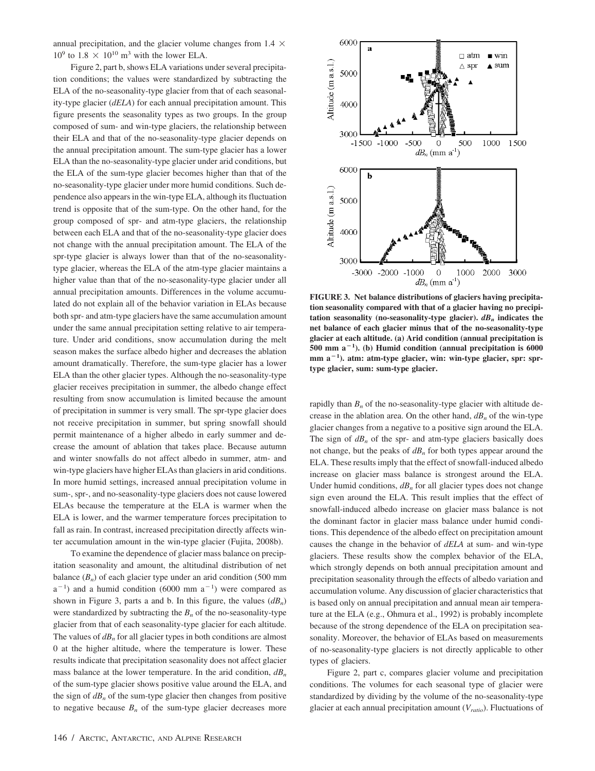annual precipitation, and the glacier volume changes from  $1.4 \times$  $10^9$  to  $1.8 \times 10^{10}$  m<sup>3</sup> with the lower ELA.

Figure 2, part b, shows ELA variations under several precipitation conditions; the values were standardized by subtracting the ELA of the no-seasonality-type glacier from that of each seasonality-type glacier (*dELA*) for each annual precipitation amount. This figure presents the seasonality types as two groups. In the group composed of sum- and win-type glaciers, the relationship between their ELA and that of the no-seasonality-type glacier depends on the annual precipitation amount. The sum-type glacier has a lower ELA than the no-seasonality-type glacier under arid conditions, but the ELA of the sum-type glacier becomes higher than that of the no-seasonality-type glacier under more humid conditions. Such dependence also appears in the win-type ELA, although its fluctuation trend is opposite that of the sum-type. On the other hand, for the group composed of spr- and atm-type glaciers, the relationship between each ELA and that of the no-seasonality-type glacier does not change with the annual precipitation amount. The ELA of the spr-type glacier is always lower than that of the no-seasonalitytype glacier, whereas the ELA of the atm-type glacier maintains a higher value than that of the no-seasonality-type glacier under all annual precipitation amounts. Differences in the volume accumulated do not explain all of the behavior variation in ELAs because both spr- and atm-type glaciers have the same accumulation amount under the same annual precipitation setting relative to air temperature. Under arid conditions, snow accumulation during the melt season makes the surface albedo higher and decreases the ablation amount dramatically. Therefore, the sum-type glacier has a lower ELA than the other glacier types. Although the no-seasonality-type glacier receives precipitation in summer, the albedo change effect resulting from snow accumulation is limited because the amount of precipitation in summer is very small. The spr-type glacier does not receive precipitation in summer, but spring snowfall should permit maintenance of a higher albedo in early summer and decrease the amount of ablation that takes place. Because autumn and winter snowfalls do not affect albedo in summer, atm- and win-type glaciers have higher ELAs than glaciers in arid conditions. In more humid settings, increased annual precipitation volume in sum-, spr-, and no-seasonality-type glaciers does not cause lowered ELAs because the temperature at the ELA is warmer when the ELA is lower, and the warmer temperature forces precipitation to fall as rain. In contrast, increased precipitation directly affects winter accumulation amount in the win-type glacier (Fujita, 2008b).

To examine the dependence of glacier mass balance on precipitation seasonality and amount, the altitudinal distribution of net balance  $(B_n)$  of each glacier type under an arid condition (500 mm)  $a^{-1}$ ) and a humid condition (6000 mm  $a^{-1}$ ) were compared as shown in Figure 3, parts a and b. In this figure, the values  $(dB_n)$ were standardized by subtracting the  $B_n$  of the no-seasonality-type glacier from that of each seasonality-type glacier for each altitude. The values of  $dB<sub>n</sub>$  for all glacier types in both conditions are almost 0 at the higher altitude, where the temperature is lower. These results indicate that precipitation seasonality does not affect glacier mass balance at the lower temperature. In the arid condition,  $dB_n$ of the sum-type glacier shows positive value around the ELA, and the sign of  $dB_n$  of the sum-type glacier then changes from positive to negative because  $B_n$  of the sum-type glacier decreases more



**FIGURE 3. Net balance distributions of glaciers having precipitation seasonality compared with that of a glacier having no precipitation seasonality (no-seasonality-type glacier).**  $dB_n$  indicates the **net balance of each glacier minus that of the no-seasonality-type glacier at each altitude. (a) Arid condition (annual precipitation is 500 mm a<sup>1</sup> ). (b) Humid condition (annual precipitation is 6000 mm a<sup>1</sup> ). atm: atm-type glacier, win: win-type glacier, spr: sprtype glacier, sum: sum-type glacier.**

rapidly than  $B_n$  of the no-seasonality-type glacier with altitude decrease in the ablation area. On the other hand,  $dB<sub>n</sub>$  of the win-type glacier changes from a negative to a positive sign around the ELA. The sign of  $dB_n$  of the spr- and atm-type glaciers basically does not change, but the peaks of  $dB<sub>n</sub>$  for both types appear around the ELA. These results imply that the effect of snowfall-induced albedo increase on glacier mass balance is strongest around the ELA. Under humid conditions,  $dB_n$  for all glacier types does not change sign even around the ELA. This result implies that the effect of snowfall-induced albedo increase on glacier mass balance is not the dominant factor in glacier mass balance under humid conditions. This dependence of the albedo effect on precipitation amount causes the change in the behavior of *dELA* at sum- and win-type glaciers. These results show the complex behavior of the ELA, which strongly depends on both annual precipitation amount and precipitation seasonality through the effects of albedo variation and accumulation volume. Any discussion of glacier characteristics that is based only on annual precipitation and annual mean air temperature at the ELA (e.g., Ohmura et al., 1992) is probably incomplete because of the strong dependence of the ELA on precipitation seasonality. Moreover, the behavior of ELAs based on measurements of no-seasonality-type glaciers is not directly applicable to other types of glaciers.

Figure 2, part c, compares glacier volume and precipitation conditions. The volumes for each seasonal type of glacier were standardized by dividing by the volume of the no-seasonality-type glacier at each annual precipitation amount (*Vratio*). Fluctuations of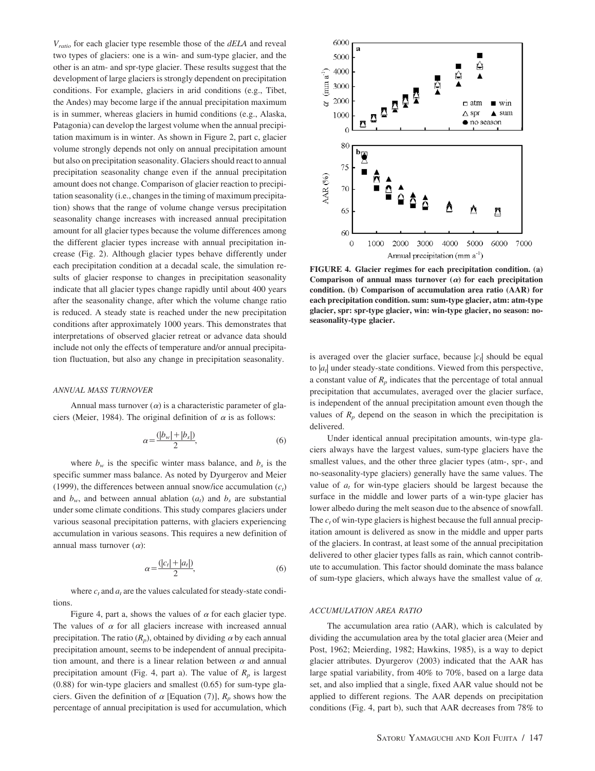*Vratio* for each glacier type resemble those of the *dELA* and reveal two types of glaciers: one is a win- and sum-type glacier, and the other is an atm- and spr-type glacier. These results suggest that the development of large glaciers is strongly dependent on precipitation conditions. For example, glaciers in arid conditions (e.g., Tibet, the Andes) may become large if the annual precipitation maximum is in summer, whereas glaciers in humid conditions (e.g., Alaska, Patagonia) can develop the largest volume when the annual precipitation maximum is in winter. As shown in Figure 2, part c, glacier volume strongly depends not only on annual precipitation amount but also on precipitation seasonality. Glaciers should react to annual precipitation seasonality change even if the annual precipitation amount does not change. Comparison of glacier reaction to precipitation seasonality (i.e., changes in the timing of maximum precipitation) shows that the range of volume change versus precipitation seasonality change increases with increased annual precipitation amount for all glacier types because the volume differences among the different glacier types increase with annual precipitation increase (Fig. 2). Although glacier types behave differently under each precipitation condition at a decadal scale, the simulation results of glacier response to changes in precipitation seasonality indicate that all glacier types change rapidly until about 400 years after the seasonality change, after which the volume change ratio is reduced. A steady state is reached under the new precipitation conditions after approximately 1000 years. This demonstrates that interpretations of observed glacier retreat or advance data should include not only the effects of temperature and/or annual precipitation fluctuation, but also any change in precipitation seasonality.

#### *ANNUAL MASS TURNOVER*

Annual mass turnover  $(\alpha)$  is a characteristic parameter of glaciers (Meier, 1984). The original definition of  $\alpha$  is as follows:

$$
\alpha = \frac{(|b_w| + |b_s|)}{2},\tag{6}
$$

where  $b_w$  is the specific winter mass balance, and  $b_s$  is the specific summer mass balance. As noted by Dyurgerov and Meier (1999), the differences between annual snow/ice accumulation  $(c<sub>t</sub>)$ and  $b_w$ , and between annual ablation  $(a_t)$  and  $b_s$  are substantial under some climate conditions. This study compares glaciers under various seasonal precipitation patterns, with glaciers experiencing accumulation in various seasons. This requires a new definition of annual mass turnover  $(\alpha)$ :

$$
\alpha = \frac{(|c_t| + |a_t|)}{2},\tag{6}
$$

where  $c_t$  and  $a_t$  are the values calculated for steady-state conditions.

Figure 4, part a, shows the values of  $\alpha$  for each glacier type. The values of  $\alpha$  for all glaciers increase with increased annual precipitation. The ratio  $(R_p)$ , obtained by dividing  $\alpha$  by each annual precipitation amount, seems to be independent of annual precipitation amount, and there is a linear relation between  $\alpha$  and annual precipitation amount (Fig. 4, part a). The value of  $R_p$  is largest (0.88) for win-type glaciers and smallest (0.65) for sum-type glaciers. Given the definition of  $\alpha$  [Equation (7)],  $R_p$  shows how the percentage of annual precipitation is used for accumulation, which



**FIGURE 4. Glacier regimes for each precipitation condition. (a)** Comparison of annual mass turnover  $(\alpha)$  for each precipitation **condition. (b) Comparison of accumulation area ratio (AAR) for each precipitation condition. sum: sum-type glacier, atm: atm-type glacier, spr: spr-type glacier, win: win-type glacier, no season: noseasonality-type glacier.**

is averaged over the glacier surface, because  $|c_t|$  should be equal to  $|a_t|$  under steady-state conditions. Viewed from this perspective, a constant value of  $R_p$  indicates that the percentage of total annual precipitation that accumulates, averaged over the glacier surface, is independent of the annual precipitation amount even though the values of  $R_p$  depend on the season in which the precipitation is delivered.

Under identical annual precipitation amounts, win-type glaciers always have the largest values, sum-type glaciers have the smallest values, and the other three glacier types (atm-, spr-, and no-seasonality-type glaciers) generally have the same values. The value of  $a_t$  for win-type glaciers should be largest because the surface in the middle and lower parts of a win-type glacier has lower albedo during the melt season due to the absence of snowfall. The  $c_t$  of win-type glaciers is highest because the full annual precipitation amount is delivered as snow in the middle and upper parts of the glaciers. In contrast, at least some of the annual precipitation delivered to other glacier types falls as rain, which cannot contribute to accumulation. This factor should dominate the mass balance of sum-type glaciers, which always have the smallest value of  $\alpha$ .

#### *ACCUMULATION AREA RATIO*

The accumulation area ratio (AAR), which is calculated by dividing the accumulation area by the total glacier area (Meier and Post, 1962; Meierding, 1982; Hawkins, 1985), is a way to depict glacier attributes. Dyurgerov (2003) indicated that the AAR has large spatial variability, from 40% to 70%, based on a large data set, and also implied that a single, fixed AAR value should not be applied to different regions. The AAR depends on precipitation conditions (Fig. 4, part b), such that AAR decreases from 78% to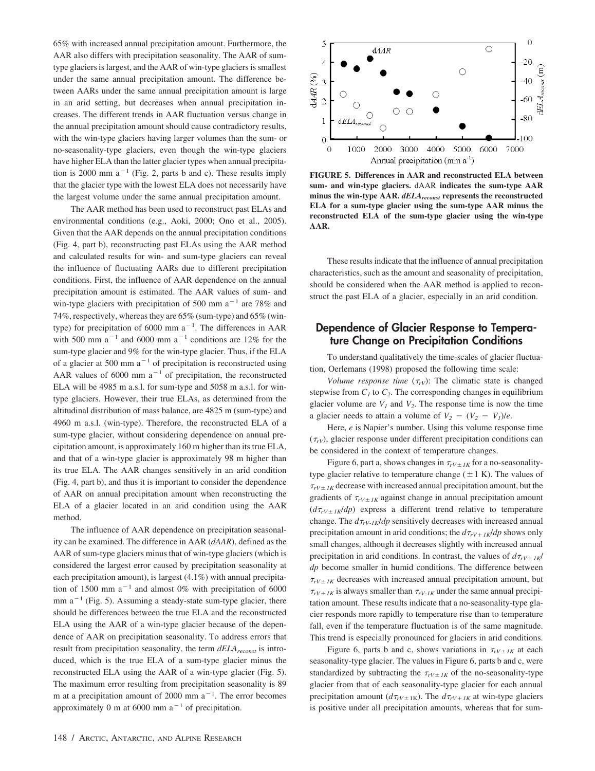65% with increased annual precipitation amount. Furthermore, the AAR also differs with precipitation seasonality. The AAR of sumtype glaciers is largest, and the AAR of win-type glaciers is smallest under the same annual precipitation amount. The difference between AARs under the same annual precipitation amount is large in an arid setting, but decreases when annual precipitation increases. The different trends in AAR fluctuation versus change in the annual precipitation amount should cause contradictory results, with the win-type glaciers having larger volumes than the sum- or no-seasonality-type glaciers, even though the win-type glaciers have higher ELA than the latter glacier types when annual precipitation is 2000 mm  $a^{-1}$  (Fig. 2, parts b and c). These results imply that the glacier type with the lowest ELA does not necessarily have the largest volume under the same annual precipitation amount.

The AAR method has been used to reconstruct past ELAs and environmental conditions (e.g., Aoki, 2000; Ono et al., 2005). Given that the AAR depends on the annual precipitation conditions (Fig. 4, part b), reconstructing past ELAs using the AAR method and calculated results for win- and sum-type glaciers can reveal the influence of fluctuating AARs due to different precipitation conditions. First, the influence of AAR dependence on the annual precipitation amount is estimated. The AAR values of sum- and win-type glaciers with precipitation of 500 mm  $a^{-1}$  are 78% and 74%, respectively, whereas they are 65% (sum-type) and 65% (wintype) for precipitation of 6000 mm  $a^{-1}$ . The differences in AAR with 500 mm  $a^{-1}$  and 6000 mm  $a^{-1}$  conditions are 12% for the sum-type glacier and 9% for the win-type glacier. Thus, if the ELA of a glacier at 500 mm  $a^{-1}$  of precipitation is reconstructed using AAR values of 6000 mm  $a^{-1}$  of precipitation, the reconstructed ELA will be 4985 m a.s.l. for sum-type and 5058 m a.s.l. for wintype glaciers. However, their true ELAs, as determined from the altitudinal distribution of mass balance, are 4825 m (sum-type) and 4960 m a.s.l. (win-type). Therefore, the reconstructed ELA of a sum-type glacier, without considering dependence on annual precipitation amount, is approximately 160 m higher than its true ELA, and that of a win-type glacier is approximately 98 m higher than its true ELA. The AAR changes sensitively in an arid condition (Fig. 4, part b), and thus it is important to consider the dependence of AAR on annual precipitation amount when reconstructing the ELA of a glacier located in an arid condition using the AAR method.

The influence of AAR dependence on precipitation seasonality can be examined. The difference in AAR (*dAAR*), defined as the AAR of sum-type glaciers minus that of win-type glaciers (which is considered the largest error caused by precipitation seasonality at each precipitation amount), is largest (4.1%) with annual precipitation of 1500 mm  $a^{-1}$  and almost 0% with precipitation of 6000 mm  $a^{-1}$  (Fig. 5). Assuming a steady-state sum-type glacier, there should be differences between the true ELA and the reconstructed ELA using the AAR of a win-type glacier because of the dependence of AAR on precipitation seasonality. To address errors that result from precipitation seasonality, the term  $dELA_{reconst}$  is introduced, which is the true ELA of a sum-type glacier minus the reconstructed ELA using the AAR of a win-type glacier (Fig. 5). The maximum error resulting from precipitation seasonality is 89 m at a precipitation amount of 2000 mm  $a^{-1}$ . The error becomes approximately 0 m at 6000 mm  $a^{-1}$  of precipitation.



**FIGURE 5. Differences in AAR and reconstructed ELA between sum- and win-type glaciers.** dAAR **indicates the sum-type AAR minus the win-type AAR.** *dELAreconst* **represents the reconstructed ELA for a sum-type glacier using the sum-type AAR minus the reconstructed ELA of the sum-type glacier using the win-type AAR.**

These results indicate that the influence of annual precipitation characteristics, such as the amount and seasonality of precipitation, should be considered when the AAR method is applied to reconstruct the past ELA of a glacier, especially in an arid condition.

#### **Dependence of Glacier Response to Temperature Change on Precipitation Conditions**

To understand qualitatively the time-scales of glacier fluctuation, Oerlemans (1998) proposed the following time scale:

*Volume response time*  $(\tau_{\nu})$ : The climatic state is changed stepwise from  $C_1$  to  $C_2$ . The corresponding changes in equilibrium glacier volume are  $V_1$  and  $V_2$ . The response time is now the time a glacier needs to attain a volume of  $V_2 - (V_2 - V_1)/e$ .

Here, *e* is Napier's number. Using this volume response time  $(\tau_{\nu})$ , glacier response under different precipitation conditions can be considered in the context of temperature changes.

Figure 6, part a, shows changes in  $\tau_{rV\pm 1K}$  for a no-seasonalitytype glacier relative to temperature change  $(\pm 1 \text{ K})$ . The values of  $\tau_{\gamma V \pm 1K}$  decrease with increased annual precipitation amount, but the gradients of  $\tau_{\nu} = \nu_{I}$  against change in annual precipitation amount  $(d\tau_{rV\pm 1K}/dp)$  express a different trend relative to temperature change. The  $d\tau_{\text{IV-1K}}/dp$  sensitively decreases with increased annual precipitation amount in arid conditions; the  $d\tau_{V+IK}/dp$  shows only small changes, although it decreases slightly with increased annual precipitation in arid conditions. In contrast, the values of  $d\tau_{\nu} = 1K/\nu$ *dp* become smaller in humid conditions. The difference between  $\tau_{IV+IK}$  decreases with increased annual precipitation amount, but  $\tau_{\nu}$ <sub>*rV*+*IK*</sub> is always smaller than  $\tau_{\nu}$ *<sub><i>rV-IK*</sub> under the same annual precipitation amount. These results indicate that a no-seasonality-type glacier responds more rapidly to temperature rise than to temperature fall, even if the temperature fluctuation is of the same magnitude. This trend is especially pronounced for glaciers in arid conditions.

Figure 6, parts b and c, shows variations in  $\tau_{rV\pm 1K}$  at each seasonality-type glacier. The values in Figure 6, parts b and c, were standardized by subtracting the  $\tau_{V\pm 1K}$  of the no-seasonality-type glacier from that of each seasonality-type glacier for each annual precipitation amount  $(d\tau_{V+1K})$ . The  $d\tau_{V+1K}$  at win-type glaciers is positive under all precipitation amounts, whereas that for sum-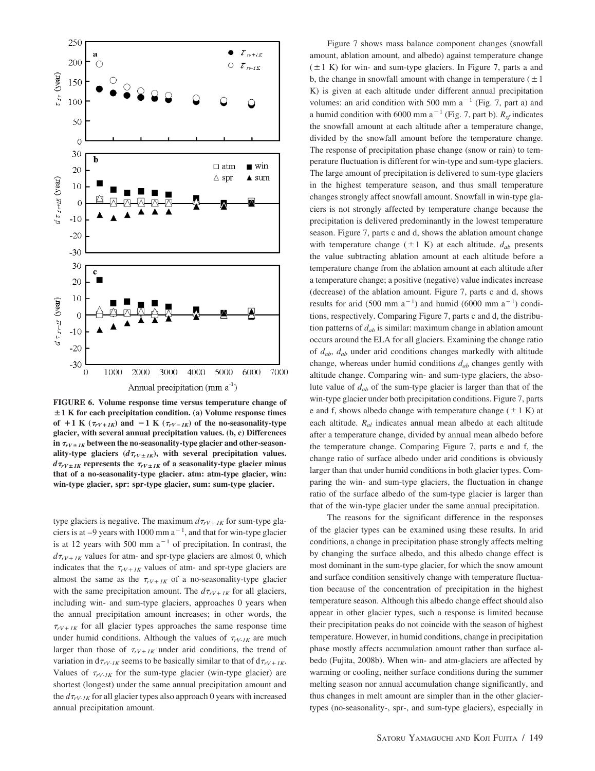

**FIGURE 6. Volume response time versus temperature change of 1 K for each precipitation condition. (a) Volume response times** of  $+1$  K ( $\tau_{rV+IK}$ ) and  $-1$  K ( $\tau_{rV-IK}$ ) of the no-seasonality-type **glacier, with several annual precipitation values. (b, c) Differences** in  $\tau_{rV\pm 1K}$  between the no-seasonality-type glacier and other-seasonality-type glaciers  $(d\tau_{\nu}V_{\pm}K)$ , with several precipitation values.  $d\tau_{\text{rV}\pm\text{1}K}$  represents the  $\tau_{\text{rV}\pm\text{1}K}$  of a seasonality-type glacier minus **that of a no-seasonality-type glacier. atm: atm-type glacier, win: win-type glacier, spr: spr-type glacier, sum: sum-type glacier.**

type glaciers is negative. The maximum  $d\tau_{V+IK}$  for sum-type glaciers is at  $-9$  years with 1000 mm  $a^{-1}$ , and that for win-type glacier is at 12 years with 500 mm  $a^{-1}$  of precipitation. In contrast, the  $d\tau_{V+IK}$  values for atm- and spr-type glaciers are almost 0, which indicates that the  $\tau_{\text{rV}+1K}$  values of atm- and spr-type glaciers are almost the same as the  $\tau_{rV+IK}$  of a no-seasonality-type glacier with the same precipitation amount. The  $d\tau_{IV+IK}$  for all glaciers, including win- and sum-type glaciers, approaches 0 years when the annual precipitation amount increases; in other words, the  $\tau_{\text{IV+IK}}$  for all glacier types approaches the same response time under humid conditions. Although the values of  $\tau_{rV\text{-}IK}$  are much larger than those of  $\tau_{\nu}V_{+IK}$  under arid conditions, the trend of variation in  $d\tau_{\nu}V_{\nu}$  seems to be basically similar to that of  $d\tau_{\nu}V_{\nu}+IK$ . Values of  $\tau_{rV-IK}$  for the sum-type glacier (win-type glacier) are shortest (longest) under the same annual precipitation amount and the  $d\tau_{\text{rV-1K}}$  for all glacier types also approach 0 years with increased annual precipitation amount.

Figure 7 shows mass balance component changes (snowfall amount, ablation amount, and albedo) against temperature change  $(\pm 1 \text{ K})$  for win- and sum-type glaciers. In Figure 7, parts a and b, the change in snowfall amount with change in temperature  $(1)$ K) is given at each altitude under different annual precipitation volumes: an arid condition with 500 mm  $a^{-1}$  (Fig. 7, part a) and a humid condition with 6000 mm  $a^{-1}$  (Fig. 7, part b).  $R_{sf}$  indicates the snowfall amount at each altitude after a temperature change, divided by the snowfall amount before the temperature change. The response of precipitation phase change (snow or rain) to temperature fluctuation is different for win-type and sum-type glaciers. The large amount of precipitation is delivered to sum-type glaciers in the highest temperature season, and thus small temperature changes strongly affect snowfall amount. Snowfall in win-type glaciers is not strongly affected by temperature change because the precipitation is delivered predominantly in the lowest temperature season. Figure 7, parts c and d, shows the ablation amount change with temperature change  $(\pm 1 \text{ K})$  at each altitude.  $d_{ab}$  presents the value subtracting ablation amount at each altitude before a temperature change from the ablation amount at each altitude after a temperature change; a positive (negative) value indicates increase (decrease) of the ablation amount. Figure 7, parts c and d, shows results for arid (500 mm  $a^{-1}$ ) and humid (6000 mm  $a^{-1}$ ) conditions, respectively. Comparing Figure 7, parts c and d, the distribution patterns of  $d_{ab}$  is similar: maximum change in ablation amount occurs around the ELA for all glaciers. Examining the change ratio of *dab*, *dab* under arid conditions changes markedly with altitude change, whereas under humid conditions *dab* changes gently with altitude change. Comparing win- and sum-type glaciers, the absolute value of  $d_{ab}$  of the sum-type glacier is larger than that of the win-type glacier under both precipitation conditions. Figure 7, parts e and f, shows albedo change with temperature change  $(±1 K)$  at each altitude. *Ral* indicates annual mean albedo at each altitude after a temperature change, divided by annual mean albedo before the temperature change. Comparing Figure 7, parts e and f, the change ratio of surface albedo under arid conditions is obviously larger than that under humid conditions in both glacier types. Comparing the win- and sum-type glaciers, the fluctuation in change ratio of the surface albedo of the sum-type glacier is larger than that of the win-type glacier under the same annual precipitation.

The reasons for the significant difference in the responses of the glacier types can be examined using these results. In arid conditions, a change in precipitation phase strongly affects melting by changing the surface albedo, and this albedo change effect is most dominant in the sum-type glacier, for which the snow amount and surface condition sensitively change with temperature fluctuation because of the concentration of precipitation in the highest temperature season. Although this albedo change effect should also appear in other glacier types, such a response is limited because their precipitation peaks do not coincide with the season of highest temperature. However, in humid conditions, change in precipitation phase mostly affects accumulation amount rather than surface albedo (Fujita, 2008b). When win- and atm-glaciers are affected by warming or cooling, neither surface conditions during the summer melting season nor annual accumulation change significantly, and thus changes in melt amount are simpler than in the other glaciertypes (no-seasonality-, spr-, and sum-type glaciers), especially in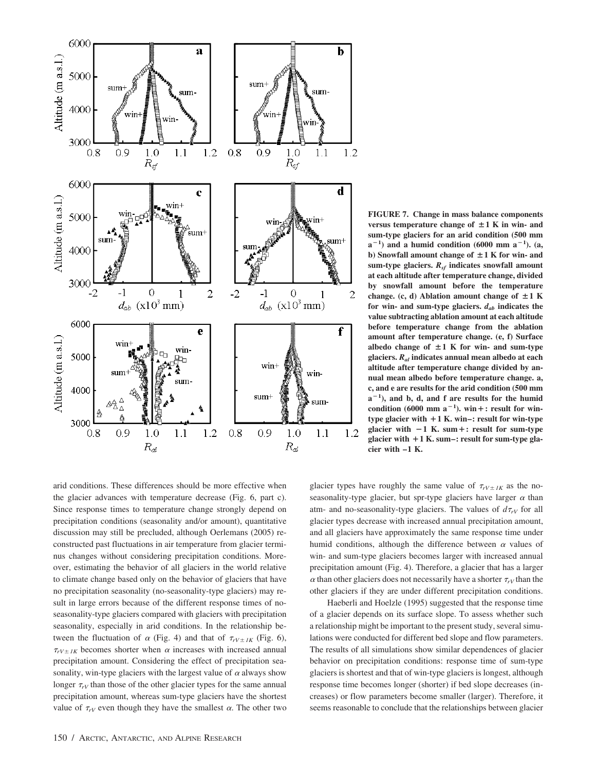

**FIGURE 7. Change in mass balance components** versus temperature change of  $\pm 1$  K in win- and **sum-type glaciers for an arid condition (500 mm**  $a^{-1}$ ) and a humid condition (6000 mm  $a^{-1}$ ). (a, **b) Snowfall amount change of 1 K for win- and sum-type glaciers.** *Rsf* **indicates snowfall amount at each altitude after temperature change, divided by snowfall amount before the temperature** change. (c, d) Ablation amount change of  $\pm 1$  K **for win- and sum-type glaciers.** *dab* **indicates the value subtracting ablation amount at each altitude before temperature change from the ablation amount after temperature change. (e, f) Surface** albedo change of  $\pm 1$  K for win- and sum-type **glaciers.** *Ral* **indicates annual mean albedo at each altitude after temperature change divided by annual mean albedo before temperature change. a, c, and e are results for the arid condition (500 mm a<sup>1</sup> ), and b, d, and f are results for the humid** condition (6000 mm  $a^{-1}$ ). win + : result for win**type glacier with 1 K. win–: result for win-type**  $glacier with  $-1 K$ . sum +: result for sum-type$ **glacier with 1 K. sum–: result for sum-type glacier with –1 K.**

arid conditions. These differences should be more effective when the glacier advances with temperature decrease (Fig. 6, part c). Since response times to temperature change strongly depend on precipitation conditions (seasonality and/or amount), quantitative discussion may still be precluded, although Oerlemans (2005) reconstructed past fluctuations in air temperature from glacier terminus changes without considering precipitation conditions. Moreover, estimating the behavior of all glaciers in the world relative to climate change based only on the behavior of glaciers that have no precipitation seasonality (no-seasonality-type glaciers) may result in large errors because of the different response times of noseasonality-type glaciers compared with glaciers with precipitation seasonality, especially in arid conditions. In the relationship between the fluctuation of  $\alpha$  (Fig. 4) and that of  $\tau_{rV \pm 1K}$  (Fig. 6),  $\tau_{\text{IV+IK}}$  becomes shorter when  $\alpha$  increases with increased annual precipitation amount. Considering the effect of precipitation seasonality, win-type glaciers with the largest value of  $\alpha$  always show longer  $\tau_{\gamma V}$  than those of the other glacier types for the same annual precipitation amount, whereas sum-type glaciers have the shortest value of  $\tau_{rV}$  even though they have the smallest  $\alpha$ . The other two

150 / ARCTIC, ANTARCTIC, AND ALPINE RESEARCH

glacier types have roughly the same value of  $\tau_{rV\pm 1K}$  as the noseasonality-type glacier, but spr-type glaciers have larger  $\alpha$  than atm- and no-seasonality-type glaciers. The values of  $d\tau_{\text{rV}}$  for all glacier types decrease with increased annual precipitation amount, and all glaciers have approximately the same response time under humid conditions, although the difference between  $\alpha$  values of win- and sum-type glaciers becomes larger with increased annual precipitation amount (Fig. 4). Therefore, a glacier that has a larger  $\alpha$  than other glaciers does not necessarily have a shorter  $\tau_{\nu}$  than the other glaciers if they are under different precipitation conditions.

Haeberli and Hoelzle (1995) suggested that the response time of a glacier depends on its surface slope. To assess whether such a relationship might be important to the present study, several simulations were conducted for different bed slope and flow parameters. The results of all simulations show similar dependences of glacier behavior on precipitation conditions: response time of sum-type glaciers is shortest and that of win-type glaciers is longest, although response time becomes longer (shorter) if bed slope decreases (increases) or flow parameters become smaller (larger). Therefore, it seems reasonable to conclude that the relationships between glacier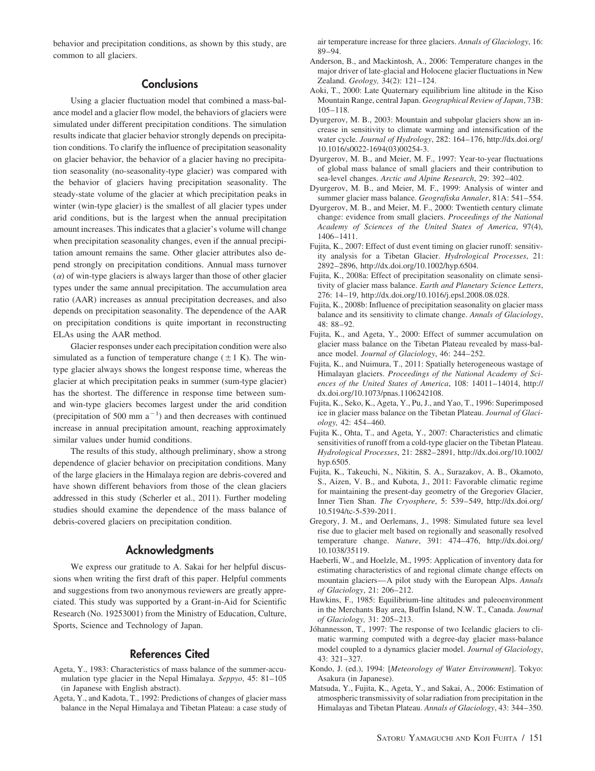behavior and precipitation conditions, as shown by this study, are common to all glaciers.

#### **Conclusions**

Using a glacier fluctuation model that combined a mass-balance model and a glacier flow model, the behaviors of glaciers were simulated under different precipitation conditions. The simulation results indicate that glacier behavior strongly depends on precipitation conditions. To clarify the influence of precipitation seasonality on glacier behavior, the behavior of a glacier having no precipitation seasonality (no-seasonality-type glacier) was compared with the behavior of glaciers having precipitation seasonality. The steady-state volume of the glacier at which precipitation peaks in winter (win-type glacier) is the smallest of all glacier types under arid conditions, but is the largest when the annual precipitation amount increases. This indicates that a glacier's volume will change when precipitation seasonality changes, even if the annual precipitation amount remains the same. Other glacier attributes also depend strongly on precipitation conditions. Annual mass turnover  $(\alpha)$  of win-type glaciers is always larger than those of other glacier types under the same annual precipitation. The accumulation area ratio (AAR) increases as annual precipitation decreases, and also depends on precipitation seasonality. The dependence of the AAR on precipitation conditions is quite important in reconstructing ELAs using the AAR method.

Glacier responses under each precipitation condition were also simulated as a function of temperature change  $(\pm 1 \text{ K})$ . The wintype glacier always shows the longest response time, whereas the glacier at which precipitation peaks in summer (sum-type glacier) has the shortest. The difference in response time between sumand win-type glaciers becomes largest under the arid condition (precipitation of 500 mm  $a^{-1}$ ) and then decreases with continued increase in annual precipitation amount, reaching approximately similar values under humid conditions.

The results of this study, although preliminary, show a strong dependence of glacier behavior on precipitation conditions. Many of the large glaciers in the Himalaya region are debris-covered and have shown different behaviors from those of the clean glaciers addressed in this study (Scherler et al., 2011). Further modeling studies should examine the dependence of the mass balance of debris-covered glaciers on precipitation condition.

#### **Acknowledgments**

We express our gratitude to A. Sakai for her helpful discussions when writing the first draft of this paper. Helpful comments and suggestions from two anonymous reviewers are greatly appreciated. This study was supported by a Grant-in-Aid for Scientific Research (No. 19253001) from the Ministry of Education, Culture, Sports, Science and Technology of Japan.

#### **References Cited**

- Ageta, Y., 1983: Characteristics of mass balance of the summer-accumulation type glacier in the Nepal Himalaya. *Seppyo*, 45: 81–105 (in Japanese with English abstract).
- Ageta, Y., and Kadota, T., 1992: Predictions of changes of glacier mass balance in the Nepal Himalaya and Tibetan Plateau: a case study of

air temperature increase for three glaciers. *Annals of Glaciology*, 16: 89–94.

- Anderson, B., and Mackintosh, A., 2006: Temperature changes in the major driver of late-glacial and Holocene glacier fluctuations in New Zealand. *Geology,* 34(2): 121–124.
- Aoki, T., 2000: Late Quaternary equilibrium line altitude in the Kiso Mountain Range, central Japan. *Geographical Review of Japan*, 73B: 105–118.
- Dyurgerov, M. B., 2003: Mountain and subpolar glaciers show an increase in sensitivity to climate warming and intensification of the water cycle. *Journal of Hydrology*, 282: 164–176, http://dx.doi.org/ 10.1016/s0022-1694(03)00254-3.
- Dyurgerov, M. B., and Meier, M. F., 1997: Year-to-year fluctuations of global mass balance of small glaciers and their contribution to sea-level changes. *Arctic and Alpine Research*, 29: 392–402.
- Dyurgerov, M. B., and Meier, M. F., 1999: Analysis of winter and summer glacier mass balance. *Geografiska Annaler*, 81A: 541–554.
- Dyurgerov, M. B., and Meier, M. F., 2000: Twentieth century climate change: evidence from small glaciers. *Proceedings of the National Academy of Sciences of the United States of America*, 97(4), 1406–1411.
- Fujita, K., 2007: Effect of dust event timing on glacier runoff: sensitivity analysis for a Tibetan Glacier. *Hydrological Processes*, 21: 2892–2896, http://dx.doi.org/10.1002/hyp.6504.
- Fujita, K., 2008a: Effect of precipitation seasonality on climate sensitivity of glacier mass balance. *Earth and Planetary Science Letters*, 276: 14–19, http://dx.doi.org/10.1016/j.epsl.2008.08.028.
- Fujita, K., 2008b: Influence of precipitation seasonality on glacier mass balance and its sensitivity to climate change. *Annals of Glaciology*, 48: 88–92.
- Fujita, K., and Ageta, Y., 2000: Effect of summer accumulation on glacier mass balance on the Tibetan Plateau revealed by mass-balance model. *Journal of Glaciology*, 46: 244–252.
- Fujita, K., and Nuimura, T., 2011: Spatially heterogeneous wastage of Himalayan glaciers. *Proceedings of the National Academy of Sciences of the United States of America*, 108: 14011–14014, http:// dx.doi.org/10.1073/pnas.1106242108.
- Fujita, K., Seko, K., Ageta, Y., Pu, J., and Yao, T., 1996: Superimposed ice in glacier mass balance on the Tibetan Plateau. *Journal of Glaciology,* 42: 454–460.
- Fujita K., Ohta, T., and Ageta, Y., 2007: Characteristics and climatic sensitivities of runoff from a cold-type glacier on the Tibetan Plateau. *Hydrological Processes*, 21: 2882–2891, http://dx.doi.org/10.1002/ hyp.6505.
- Fujita, K., Takeuchi, N., Nikitin, S. A., Surazakov, A. B., Okamoto, S., Aizen, V. B., and Kubota, J., 2011: Favorable climatic regime for maintaining the present-day geometry of the Gregoriev Glacier, Inner Tien Shan. *The Cryosphere*, 5: 539–549, http://dx.doi.org/ 10.5194/tc-5-539-2011.
- Gregory, J. M., and Oerlemans, J., 1998: Simulated future sea level rise due to glacier melt based on regionally and seasonally resolved temperature change. *Nature*, 391: 474–476, http://dx.doi.org/ 10.1038/35119.
- Haeberli, W., and Hoelzle, M., 1995: Application of inventory data for estimating characteristics of and regional climate change effects on mountain glaciers—A pilot study with the European Alps. *Annals of Glaciology*, 21: 206–212.
- Hawkins, F., 1985: Equilibrium-line altitudes and paleoenvironment in the Merchants Bay area, Buffin Island, N.W. T., Canada. *Journal of Glaciology,* 31: 205–213.
- Jóhannesson, T., 1997: The response of two Icelandic glaciers to climatic warming computed with a degree-day glacier mass-balance model coupled to a dynamics glacier model. *Journal of Glaciology*, 43: 321–327.
- Kondo, J. (ed.), 1994: [*Meteorology of Water Environment*]. Tokyo: Asakura (in Japanese).
- Matsuda, Y., Fujita, K., Ageta, Y., and Sakai, A., 2006: Estimation of atmospheric transmissivity of solar radiation from precipitation in the Himalayas and Tibetan Plateau. *Annals of Glaciology*, 43: 344–350.